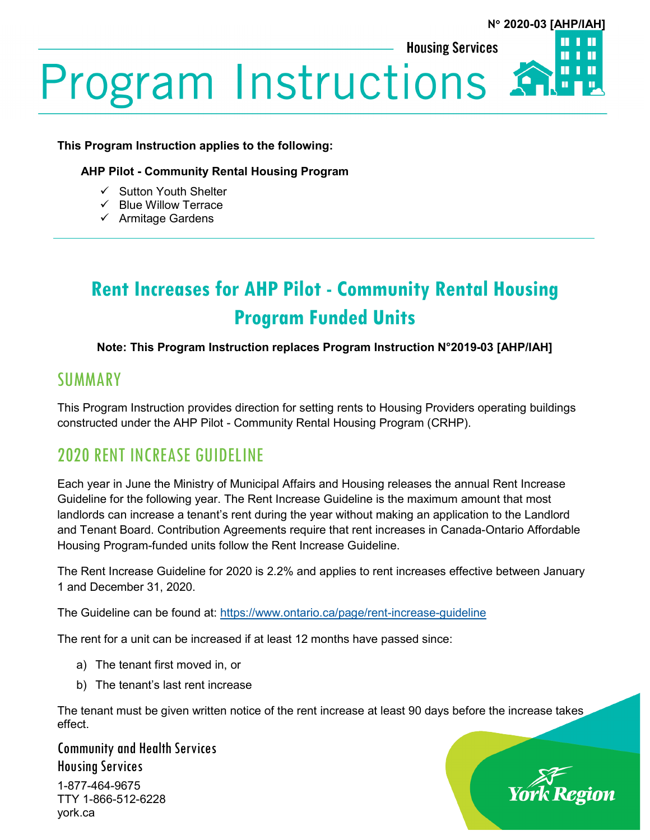**Housing Services** 



# **Program Instructions &**

## **This Program Instruction applies to the following:**

## **AHP Pilot - Community Rental Housing Program**

- $\checkmark$  Sutton Youth Shelter
- $\checkmark$  Blue Willow Terrace
- $\checkmark$  Armitage Gardens

## **Rent Increases for AHP Pilot - Community Rental Housing Program Funded Units**

## **Note: This Program Instruction replaces Program Instruction N°2019-03 [AHP/IAH]**

## SUMMARY

This Program Instruction provides direction for setting rents to Housing Providers operating buildings constructed under the AHP Pilot - Community Rental Housing Program (CRHP).

## 2020 RENT INCREASE GUIDELINE

Each year in June the Ministry of Municipal Affairs and Housing releases the annual Rent Increase Guideline for the following year. The Rent Increase Guideline is the maximum amount that most landlords can increase a tenant's rent during the year without making an application to the Landlord and Tenant Board. Contribution Agreements require that rent increases in Canada-Ontario Affordable Housing Program-funded units follow the Rent Increase Guideline.

The Rent Increase Guideline for 2020 is 2.2% and applies to rent increases effective between January 1 and December 31, 2020.

The Guideline can be found at:<https://www.ontario.ca/page/rent-increase-guideline>

The rent for a unit can be increased if at least 12 months have passed since:

- a) The tenant first moved in, or
- b) The tenant's last rent increase

The tenant must be given written notice of the rent increase at least 90 days before the increase takes effect.

Community and Health Services Housing Services 1-877-464-9675 TTY 1-866-512-6228

york.ca